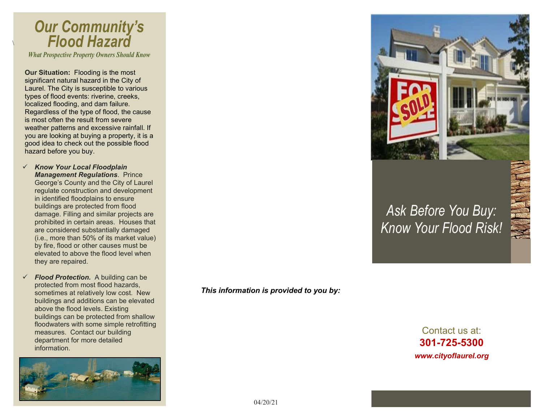# *Our Community's Flood Hazard*

 $\backslash$ 

*What Prospective Property Owners Should Know*

**Our Situation:** Flooding is the most significant natural hazard in the City of Laurel. The City is susceptible to various types of flood events: riverine, creeks, localized flooding, and dam failure. Regardless of the type of flood, the cause is most often the result from severe weather patterns and excessive rainfall. If you are looking at buying a property, it is a good idea to check out the possible flood hazard before you buy.

- *Know Your Local Floodplain Management Regulations*. Prince George's County and the City of Laurel regulate construction and development in identified floodplains to ensure buildings are protected from flood damage. Filling and similar projects are prohibited in certain areas. Houses that are considered substantially damaged (i.e., more than 50% of its market value) by fire, flood or other causes must be elevated to above the flood level when they are repaired.
- *Flood Protection.* A building can be protected from most flood hazards, sometimes at relatively low cost. New buildings and additions can be elevated above the flood levels. Existing buildings can be protected from shallow floodwaters with some simple retrofitting measures. Contact our building department for more detailed information.



*This information is provided to you by:*



### *Ask Before You Buy: Know Your Flood Risk!*

Contact us at: **301-725-5300** *www.cityoflaurel.org*